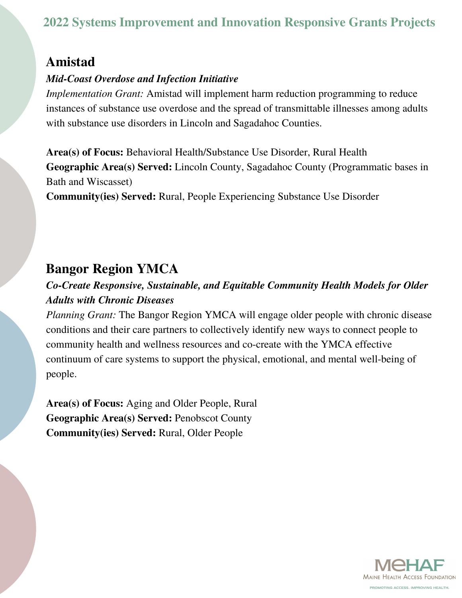# **Amistad**

#### *Mid-Coast Overdose and Infection Initiative*

*Implementation Grant:* Amistad will implement harm reduction programming to reduce instances of substance use overdose and the spread of transmittable illnesses among adults with substance use disorders in Lincoln and Sagadahoc Counties.

**Area(s) of Focus:** Behavioral Health/Substance Use Disorder, Rural Health **Geographic Area(s) Served:** Lincoln County, Sagadahoc County (Programmatic bases in Bath and Wiscasset)

**Community(ies) Served:** Rural, People Experiencing Substance Use Disorder

# **Bangor Region YMCA**

### *Co-Create Responsive, Sustainable, and Equitable Community Health Models for Older Adults with Chronic Diseases*

*Planning Grant:* The Bangor Region YMCA will engage older people with chronic disease conditions and their care partners to collectively identify new ways to connect people to community health and wellness resources and co-create with the YMCA effective continuum of care systems to support the physical, emotional, and mental well-being of people.

**Area(s) of Focus:** Aging and Older People, Rural **Geographic Area(s) Served:** Penobscot County **Community(ies) Served:** Rural, Older People

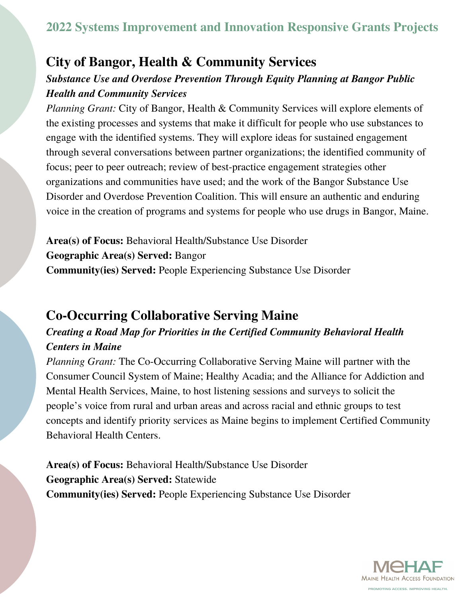# **City of Bangor, Health & Community Services**

#### *Substance Use and Overdose Prevention Through Equity Planning at Bangor Public Health and Community Services*

*Planning Grant:* City of Bangor, Health & Community Services will explore elements of the existing processes and systems that make it difficult for people who use substances to engage with the identified systems. They will explore ideas for sustained engagement through several conversations between partner organizations; the identified community of focus; peer to peer outreach; review of best-practice engagement strategies other organizations and communities have used; and the work of the Bangor Substance Use Disorder and Overdose Prevention Coalition. This will ensure an authentic and enduring voice in the creation of programs and systems for people who use drugs in Bangor, Maine.

**Area(s) of Focus:** Behavioral Health/Substance Use Disorder **Geographic Area(s) Served:** Bangor **Community(ies) Served:** People Experiencing Substance Use Disorder

# **Co-Occurring Collaborative Serving Maine**

### *Creating a Road Map for Priorities in the Certified Community Behavioral Health Centers in Maine*

*Planning Grant:* The Co-Occurring Collaborative Serving Maine will partner with the Consumer Council System of Maine; Healthy Acadia; and the Alliance for Addiction and Mental Health Services, Maine, to host listening sessions and surveys to solicit the people's voice from rural and urban areas and across racial and ethnic groups to test concepts and identify priority services as Maine begins to implement Certified Community Behavioral Health Centers.

**Area(s) of Focus:** Behavioral Health/Substance Use Disorder **Geographic Area(s) Served:** Statewide **Community(ies) Served:** People Experiencing Substance Use Disorder

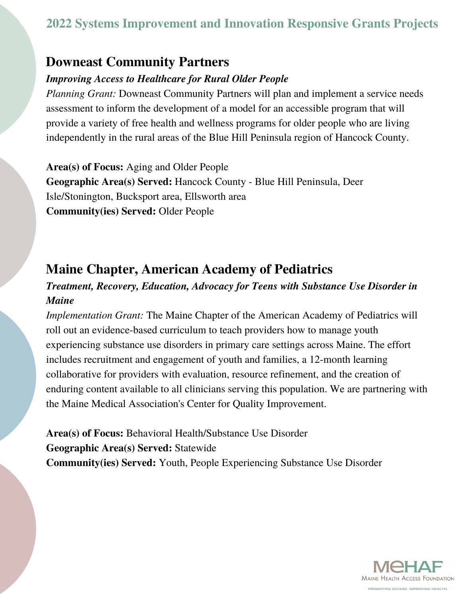### **Downeast Community Partners**

#### *Improving Access to Healthcare for Rural Older People*

*Planning Grant:* Downeast Community Partners will plan and implement a service needs assessment to inform the development of a model for an accessible program that will provide a variety of free health and wellness programs for older people who are living independently in the rural areas of the Blue Hill Peninsula region of Hancock County.

**Area(s) of Focus:** Aging and Older People **Geographic Area(s) Served:** Hancock County - Blue Hill Peninsula, Deer Isle/Stonington, Bucksport area, Ellsworth area **Community(ies) Served:** Older People

# **Maine Chapter, American Academy of Pediatrics**

#### *Treatment, Recovery, Education, Advocacy for Teens with Substance Use Disorder in Maine*

*Implementation Grant:* The Maine Chapter of the American Academy of Pediatrics will roll out an evidence-based curriculum to teach providers how to manage youth experiencing substance use disorders in primary care settings across Maine. The effort includes recruitment and engagement of youth and families, a 12-month learning collaborative for providers with evaluation, resource refinement, and the creation of enduring content available to all clinicians serving this population. We are partnering with the Maine Medical Association's Center for Quality Improvement.

**Area(s) of Focus:** Behavioral Health/Substance Use Disorder **Geographic Area(s) Served:** Statewide **Community(ies) Served:** Youth, People Experiencing Substance Use Disorder

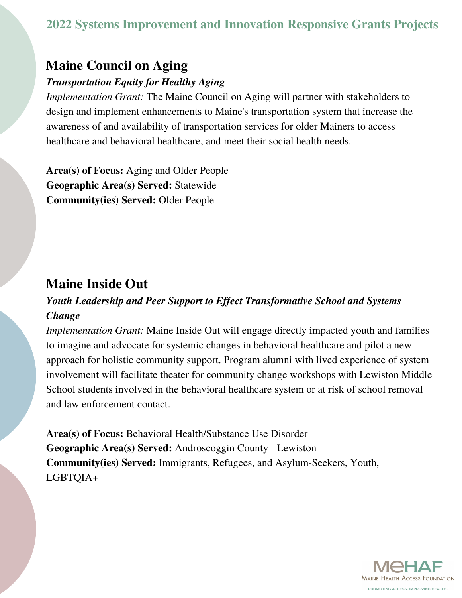## **Maine Council on Aging**

#### *Transportation Equity for Healthy Aging*

*Implementation Grant:* The Maine Council on Aging will partner with stakeholders to design and implement enhancements to Maine's transportation system that increase the awareness of and availability of transportation services for older Mainers to access healthcare and behavioral healthcare, and meet their social health needs.

**Area(s) of Focus:** Aging and Older People **Geographic Area(s) Served:** Statewide **Community(ies) Served:** Older People

## **Maine Inside Out**

#### *Youth Leadership and Peer Support to Effect Transformative School and Systems Change*

*Implementation Grant:* Maine Inside Out will engage directly impacted youth and families to imagine and advocate for systemic changes in behavioral healthcare and pilot a new approach for holistic community support. Program alumni with lived experience of system involvement will facilitate theater for community change workshops with Lewiston Middle School students involved in the behavioral healthcare system or at risk of school removal and law enforcement contact.

**Area(s) of Focus:** Behavioral Health/Substance Use Disorder **Geographic Area(s) Served:** Androscoggin County - Lewiston **Community(ies) Served:** Immigrants, Refugees, and Asylum-Seekers, Youth, LGBTQIA+

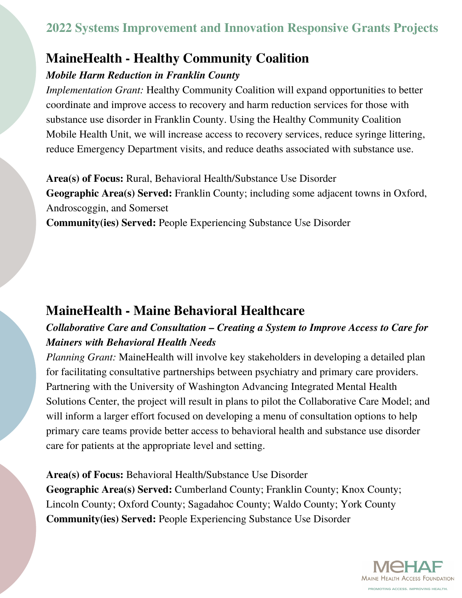# **MaineHealth - Healthy Community Coalition**

#### *Mobile Harm Reduction in Franklin County*

*Implementation Grant:* Healthy Community Coalition will expand opportunities to better coordinate and improve access to recovery and harm reduction services for those with substance use disorder in Franklin County. Using the Healthy Community Coalition Mobile Health Unit, we will increase access to recovery services, reduce syringe littering, reduce Emergency Department visits, and reduce deaths associated with substance use.

**Area(s) of Focus:** Rural, Behavioral Health/Substance Use Disorder **Geographic Area(s) Served:** Franklin County; including some adjacent towns in Oxford, Androscoggin, and Somerset

**Community(ies) Served:** People Experiencing Substance Use Disorder

# **MaineHealth - Maine Behavioral Healthcare**

### *Collaborative Care and Consultation – Creating a System to Improve Access to Care for Mainers with Behavioral Health Needs*

*Planning Grant:* MaineHealth will involve key stakeholders in developing a detailed plan for facilitating consultative partnerships between psychiatry and primary care providers. Partnering with the University of Washington Advancing Integrated Mental Health Solutions Center, the project will result in plans to pilot the Collaborative Care Model; and will inform a larger effort focused on developing a menu of consultation options to help primary care teams provide better access to behavioral health and substance use disorder care for patients at the appropriate level and setting.

**Area(s) of Focus:** Behavioral Health/Substance Use Disorder **Geographic Area(s) Served:** Cumberland County; Franklin County; Knox County; Lincoln County; Oxford County; Sagadahoc County; Waldo County; York County **Community(ies) Served:** People Experiencing Substance Use Disorder

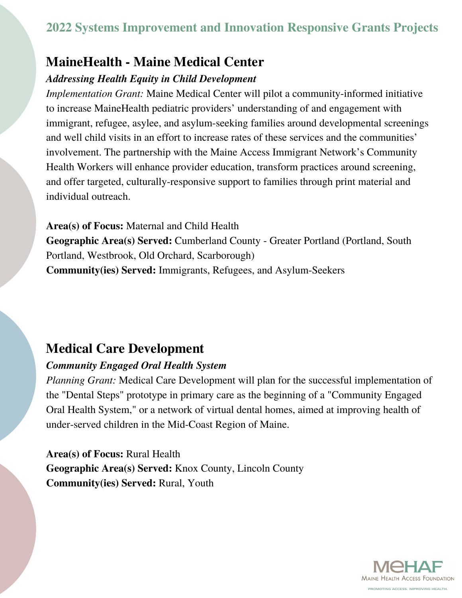## **MaineHealth - Maine Medical Center**

#### *Addressing Health Equity in Child Development*

*Implementation Grant:* Maine Medical Center will pilot a community-informed initiative to increase MaineHealth pediatric providers' understanding of and engagement with immigrant, refugee, asylee, and asylum-seeking families around developmental screenings and well child visits in an effort to increase rates of these services and the communities' involvement. The partnership with the Maine Access Immigrant Network's Community Health Workers will enhance provider education, transform practices around screening, and offer targeted, culturally-responsive support to families through print material and individual outreach.

**Area(s) of Focus:** Maternal and Child Health **Geographic Area(s) Served:** Cumberland County - Greater Portland (Portland, South Portland, Westbrook, Old Orchard, Scarborough) **Community(ies) Served:** Immigrants, Refugees, and Asylum-Seekers

# **Medical Care Development**

#### *Community Engaged Oral Health System*

*Planning Grant:* Medical Care Development will plan for the successful implementation of the "Dental Steps" prototype in primary care as the beginning of a "Community Engaged Oral Health System," or a network of virtual dental homes, aimed at improving health of under-served children in the Mid-Coast Region of Maine.

**Area(s) of Focus:** Rural Health **Geographic Area(s) Served:** Knox County, Lincoln County **Community(ies) Served:** Rural, Youth

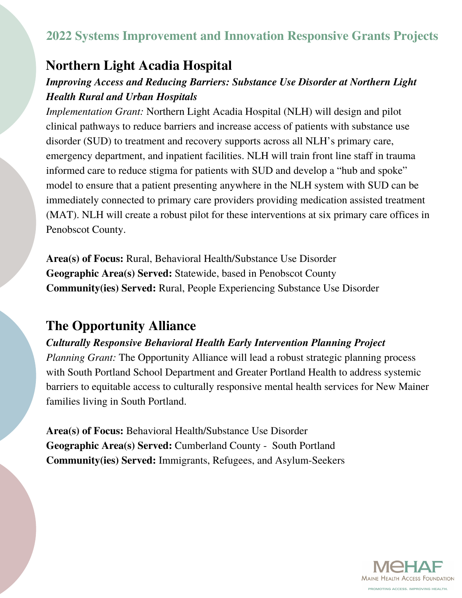### **Northern Light Acadia Hospital**

#### *Improving Access and Reducing Barriers: Substance Use Disorder at Northern Light Health Rural and Urban Hospitals*

*Implementation Grant:* Northern Light Acadia Hospital (NLH) will design and pilot clinical pathways to reduce barriers and increase access of patients with substance use disorder (SUD) to treatment and recovery supports across all NLH's primary care, emergency department, and inpatient facilities. NLH will train front line staff in trauma informed care to reduce stigma for patients with SUD and develop a "hub and spoke" model to ensure that a patient presenting anywhere in the NLH system with SUD can be immediately connected to primary care providers providing medication assisted treatment (MAT). NLH will create a robust pilot for these interventions at six primary care offices in Penobscot County.

**Area(s) of Focus:** Rural, Behavioral Health/Substance Use Disorder **Geographic Area(s) Served:** Statewide, based in Penobscot County **Community(ies) Served:** Rural, People Experiencing Substance Use Disorder

### **The Opportunity Alliance**

#### *Culturally Responsive Behavioral Health Early Intervention Planning Project*

*Planning Grant:* The Opportunity Alliance will lead a robust strategic planning process with South Portland School Department and Greater Portland Health to address systemic barriers to equitable access to culturally responsive mental health services for New Mainer families living in South Portland.

**Area(s) of Focus:** Behavioral Health/Substance Use Disorder **Geographic Area(s) Served:** Cumberland County - South Portland **Community(ies) Served:** Immigrants, Refugees, and Asylum-Seekers